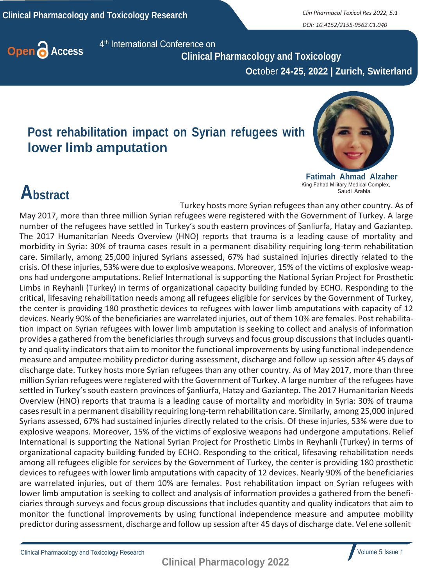*DOI: 10.4152/2155-9562.C1.040*



4<sup>th</sup> International Conference on

 **Clinical Pharmacology and Toxicology Oct**ober **24-25, 2022 | Zurich, Switerland**

## **Post rehabilitation impact on Syrian refugees with lower limb amputation**



**Fatimah Ahmad Alzaher** King Fahad Military Medical Complex, Saudi Arabia

## **Abstract**

Turkey hosts more Syrian refugees than any other country. As of May 2017, more than three million Syrian refugees were registered with the Government of Turkey. A large number of the refugees have settled in Turkey's south eastern provinces of Şanliurfa, Hatay and Gaziantep. The 2017 Humanitarian Needs Overview (HNO) reports that trauma is a leading cause of mortality and morbidity in Syria: 30% of trauma cases result in a permanent disability requiring long-term rehabilitation care. Similarly, among 25,000 injured Syrians assessed, 67% had sustained injuries directly related to the crisis. Of these injuries, 53% were due to explosive weapons. Moreover, 15% of the victims of explosive weapons had undergone amputations. Relief International is supporting the National Syrian Project for Prosthetic Limbs in Reyhanli (Turkey) in terms of organizational capacity building funded by ECHO. Responding to the critical, lifesaving rehabilitation needs among all refugees eligible for services by the Government of Turkey, the center is providing 180 prosthetic devices to refugees with lower limb amputations with capacity of 12 devices. Nearly 90% of the beneficiaries are warrelated injuries, out of them 10% are females. Post rehabilitation impact on Syrian refugees with lower limb amputation is seeking to collect and analysis of information provides a gathered from the beneficiaries through surveys and focus group discussions that includes quantity and quality indicators that aim to monitor the functional improvements by using functional independence measure and amputee mobility predictor during assessment, discharge and follow up session after 45 days of discharge date. Turkey hosts more Syrian refugees than any other country. As of May 2017, more than three million Syrian refugees were registered with the Government of Turkey. A large number of the refugees have settled in Turkey's south eastern provinces of Şanliurfa, Hatay and Gaziantep. The 2017 Humanitarian Needs Overview (HNO) reports that trauma is a leading cause of mortality and morbidity in Syria: 30% of trauma casesresult in a permanent disability requiring long-term rehabilitation care. Similarly, among 25,000 injured Syrians assessed, 67% had sustained injuries directly related to the crisis. Of these injuries, 53% were due to explosive weapons. Moreover, 15% of the victims of explosive weapons had undergone amputations. Relief International is supporting the National Syrian Project for Prosthetic Limbs in Reyhanli (Turkey) in terms of organizational capacity building funded by ECHO. Responding to the critical, lifesaving rehabilitation needs among all refugees eligible for services by the Government of Turkey, the center is providing 180 prosthetic devices to refugees with lower limb amputations with capacity of 12 devices. Nearly 90% of the beneficiaries are warrelated injuries, out of them 10% are females. Post rehabilitation impact on Syrian refugees with lower limb amputation is seeking to collect and analysis of information provides a gathered from the beneficiaries through surveys and focus group discussions that includes quantity and quality indicators that aim to monitor the functional improvements by using functional independence measure and amputee mobility predictor during assessment, discharge and follow up session after 45 days of discharge date. Vel ene sollenit